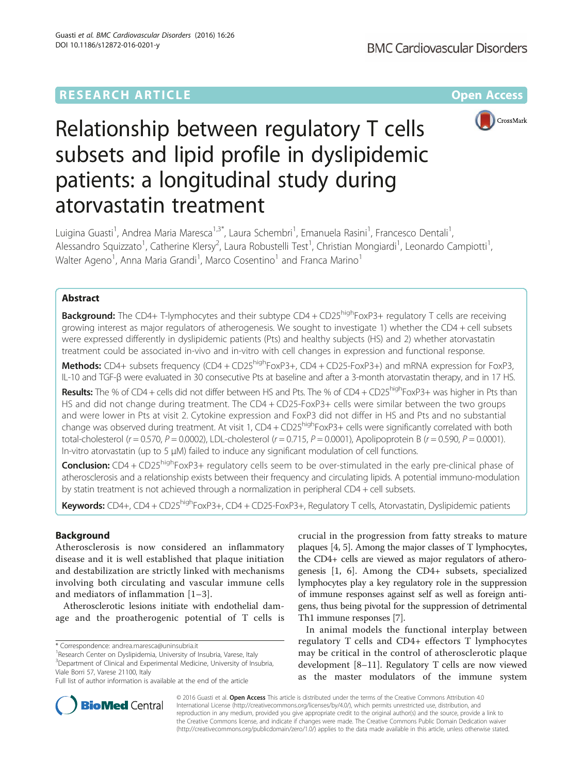## **RESEARCH ARTICLE Example 2014 12:30 The Contract of Contract ACCESS**



# Relationship between regulatory T cells subsets and lipid profile in dyslipidemic patients: a longitudinal study during atorvastatin treatment

Luigina Guasti<sup>1</sup>, Andrea Maria Maresca<sup>1,3\*</sup>, Laura Schembri<sup>1</sup>, Emanuela Rasini<sup>1</sup>, Francesco Dentali<sup>1</sup> , Alessandro Squizzato<sup>1</sup>, Catherine Klersy<sup>2</sup>, Laura Robustelli Test<sup>1</sup>, Christian Mongiardi<sup>1</sup>, Leonardo Campiotti<sup>1</sup> , Walter Ageno<sup>1</sup>, Anna Maria Grandi<sup>1</sup>, Marco Cosentino<sup>1</sup> and Franca Marino<sup>1</sup>

## Abstract

**Background:** The CD4+ T-lymphocytes and their subtype CD4 + CD25<sup>high</sup>FoxP3+ regulatory T cells are receiving growing interest as major regulators of atherogenesis. We sought to investigate 1) whether the CD4 + cell subsets were expressed differently in dyslipidemic patients (Pts) and healthy subjects (HS) and 2) whether atorvastatin treatment could be associated in-vivo and in-vitro with cell changes in expression and functional response.

Methods: CD4+ subsets frequency (CD4 + CD25<sup>high</sup>FoxP3+, CD4 + CD25-FoxP3+) and mRNA expression for FoxP3, IL-10 and TGF-β were evaluated in 30 consecutive Pts at baseline and after a 3-month atorvastatin therapy, and in 17 HS.

Results: The % of CD4 + cells did not differ between HS and Pts. The % of CD4 + CD25<sup>high</sup>FoxP3+ was higher in Pts than HS and did not change during treatment. The CD4 + CD25-FoxP3+ cells were similar between the two groups and were lower in Pts at visit 2. Cytokine expression and FoxP3 did not differ in HS and Pts and no substantial change was observed during treatment. At visit 1, CD4 + CD25<sup>high</sup>FoxP3+ cells were significantly correlated with both total-cholesterol ( $r = 0.570$ ,  $P = 0.0002$ ), LDL-cholesterol ( $r = 0.715$ ,  $P = 0.0001$ ), Apolipoprotein B ( $r = 0.590$ ,  $P = 0.0001$ ). In-vitro atorvastatin (up to 5 μM) failed to induce any significant modulation of cell functions.

**Conclusion:** CD4 + CD25<sup>high</sup>FoxP3+ regulatory cells seem to be over-stimulated in the early pre-clinical phase of atherosclerosis and a relationship exists between their frequency and circulating lipids. A potential immuno-modulation by statin treatment is not achieved through a normalization in peripheral CD4 + cell subsets.

Keywords: CD4+, CD4 + CD25<sup>high</sup>FoxP3+, CD4 + CD25-FoxP3+, Regulatory T cells, Atorvastatin, Dyslipidemic patients

## Background

Atherosclerosis is now considered an inflammatory disease and it is well established that plaque initiation and destabilization are strictly linked with mechanisms involving both circulating and vascular immune cells and mediators of inflammation [[1](#page-8-0)–[3](#page-8-0)].

Atherosclerotic lesions initiate with endothelial damage and the proatherogenic potential of T cells is crucial in the progression from fatty streaks to mature plaques [[4, 5](#page-8-0)]. Among the major classes of T lymphocytes, the CD4+ cells are viewed as major regulators of atherogenesis [[1, 6](#page-8-0)]. Among the CD4+ subsets, specialized lymphocytes play a key regulatory role in the suppression of immune responses against self as well as foreign antigens, thus being pivotal for the suppression of detrimental Th1 immune responses [\[7](#page-8-0)].

In animal models the functional interplay between regulatory T cells and CD4+ effectors T lymphocytes may be critical in the control of atherosclerotic plaque development [\[8](#page-8-0)–[11](#page-8-0)]. Regulatory T cells are now viewed as the master modulators of the immune system



© 2016 Guasti et al. Open Access This article is distributed under the terms of the Creative Commons Attribution 4.0 International License [\(http://creativecommons.org/licenses/by/4.0/](http://creativecommons.org/licenses/by/4.0/)), which permits unrestricted use, distribution, and reproduction in any medium, provided you give appropriate credit to the original author(s) and the source, provide a link to the Creative Commons license, and indicate if changes were made. The Creative Commons Public Domain Dedication waiver [\(http://creativecommons.org/publicdomain/zero/1.0/](http://creativecommons.org/publicdomain/zero/1.0/)) applies to the data made available in this article, unless otherwise stated.

<sup>\*</sup> Correspondence: [andrea.maresca@uninsubria.it](mailto:andrea.maresca@uninsubria.it) <sup>1</sup>

<sup>&</sup>lt;sup>1</sup>Research Center on Dyslipidemia, University of Insubria, Varese, Italy <sup>3</sup>Department of Clinical and Experimental Medicine, University of Insubria, Viale Borri 57, Varese 21100, Italy

Full list of author information is available at the end of the article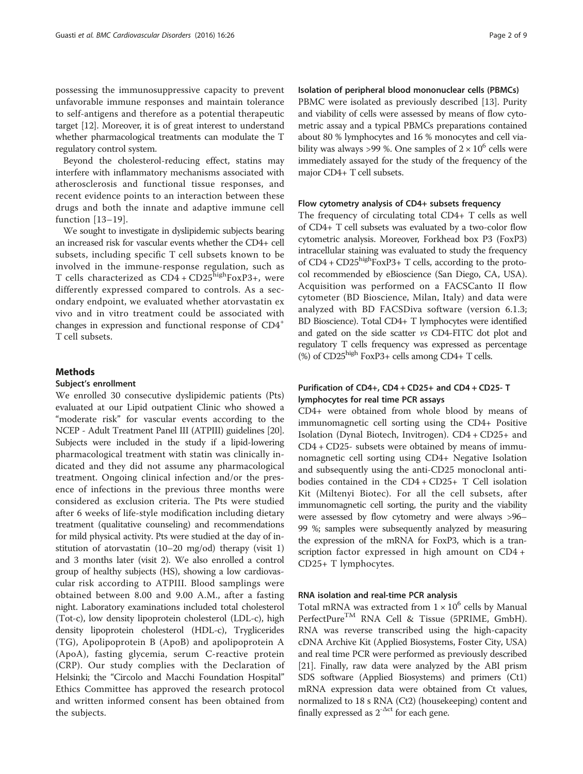possessing the immunosuppressive capacity to prevent unfavorable immune responses and maintain tolerance to self-antigens and therefore as a potential therapeutic target [\[12\]](#page-8-0). Moreover, it is of great interest to understand whether pharmacological treatments can modulate the T regulatory control system.

Beyond the cholesterol-reducing effect, statins may interfere with inflammatory mechanisms associated with atherosclerosis and functional tissue responses, and recent evidence points to an interaction between these drugs and both the innate and adaptive immune cell function [[13](#page-8-0)–[19](#page-8-0)].

We sought to investigate in dyslipidemic subjects bearing an increased risk for vascular events whether the CD4+ cell subsets, including specific T cell subsets known to be involved in the immune-response regulation, such as T cells characterized as  $CD4 + CD25$ <sup>high</sup>FoxP3+, were differently expressed compared to controls. As a secondary endpoint, we evaluated whether atorvastatin ex vivo and in vitro treatment could be associated with changes in expression and functional response of CD4<sup>+</sup> T cell subsets.

## Methods

#### Subject's enrollment

We enrolled 30 consecutive dyslipidemic patients (Pts) evaluated at our Lipid outpatient Clinic who showed a "moderate risk" for vascular events according to the NCEP - Adult Treatment Panel III (ATPIII) guidelines [\[20](#page-8-0)]. Subjects were included in the study if a lipid-lowering pharmacological treatment with statin was clinically indicated and they did not assume any pharmacological treatment. Ongoing clinical infection and/or the presence of infections in the previous three months were considered as exclusion criteria. The Pts were studied after 6 weeks of life-style modification including dietary treatment (qualitative counseling) and recommendations for mild physical activity. Pts were studied at the day of institution of atorvastatin (10–20 mg/od) therapy (visit 1) and 3 months later (visit 2). We also enrolled a control group of healthy subjects (HS), showing a low cardiovascular risk according to ATPIII. Blood samplings were obtained between 8.00 and 9.00 A.M., after a fasting night. Laboratory examinations included total cholesterol (Tot-c), low density lipoprotein cholesterol (LDL-c), high density lipoprotein cholesterol (HDL-c), Tryglicerides (TG), Apolipoprotein B (ApoB) and apolipoprotein A (ApoA), fasting glycemia, serum C-reactive protein (CRP). Our study complies with the Declaration of Helsinki; the "Circolo and Macchi Foundation Hospital" Ethics Committee has approved the research protocol and written informed consent has been obtained from the subjects.

## Isolation of peripheral blood mononuclear cells (PBMCs)

PBMC were isolated as previously described [\[13](#page-8-0)]. Purity and viability of cells were assessed by means of flow cytometric assay and a typical PBMCs preparations contained about 80 % lymphocytes and 16 % monocytes and cell viability was always >99 %. One samples of  $2 \times 10^6$  cells were immediately assayed for the study of the frequency of the major CD4+ T cell subsets.

#### Flow cytometry analysis of CD4+ subsets frequency

The frequency of circulating total CD4+ T cells as well of CD4+ T cell subsets was evaluated by a two-color flow cytometric analysis. Moreover, Forkhead box P3 (FoxP3) intracellular staining was evaluated to study the frequency of  $CD4 + CD25$ <sup>high</sup>FoxP3+ T cells, according to the protocol recommended by eBioscience (San Diego, CA, USA). Acquisition was performed on a FACSCanto II flow cytometer (BD Bioscience, Milan, Italy) and data were analyzed with BD FACSDiva software (version 6.1.3; BD Bioscience). Total CD4+ T lymphocytes were identified and gated on the side scatter vs CD4-FITC dot plot and regulatory T cells frequency was expressed as percentage  $(\%)$  of CD25<sup>high</sup> FoxP3+ cells among CD4+ T cells.

## Purification of CD4+, CD4 + CD25+ and CD4 + CD25- T lymphocytes for real time PCR assays

CD4+ were obtained from whole blood by means of immunomagnetic cell sorting using the CD4+ Positive Isolation (Dynal Biotech, Invitrogen). CD4 + CD25+ and CD4 + CD25- subsets were obtained by means of immunomagnetic cell sorting using CD4+ Negative Isolation and subsequently using the anti-CD25 monoclonal antibodies contained in the CD4 + CD25+ T Cell isolation Kit (Miltenyi Biotec). For all the cell subsets, after immunomagnetic cell sorting, the purity and the viability were assessed by flow cytometry and were always >96– 99 %; samples were subsequently analyzed by measuring the expression of the mRNA for FoxP3, which is a transcription factor expressed in high amount on CD4 + CD25+ T lymphocytes.

## RNA isolation and real-time PCR analysis

Total mRNA was extracted from  $1 \times 10^6$  cells by Manual PerfectPureTM RNA Cell & Tissue (5PRIME, GmbH). RNA was reverse transcribed using the high-capacity cDNA Archive Kit (Applied Biosystems, Foster City, USA) and real time PCR were performed as previously described [[21](#page-8-0)]. Finally, raw data were analyzed by the ABI prism SDS software (Applied Biosystems) and primers (Ct1) mRNA expression data were obtained from Ct values, normalized to 18 s RNA (Ct2) (housekeeping) content and finally expressed as  $2^{-\Delta ct}$  for each gene.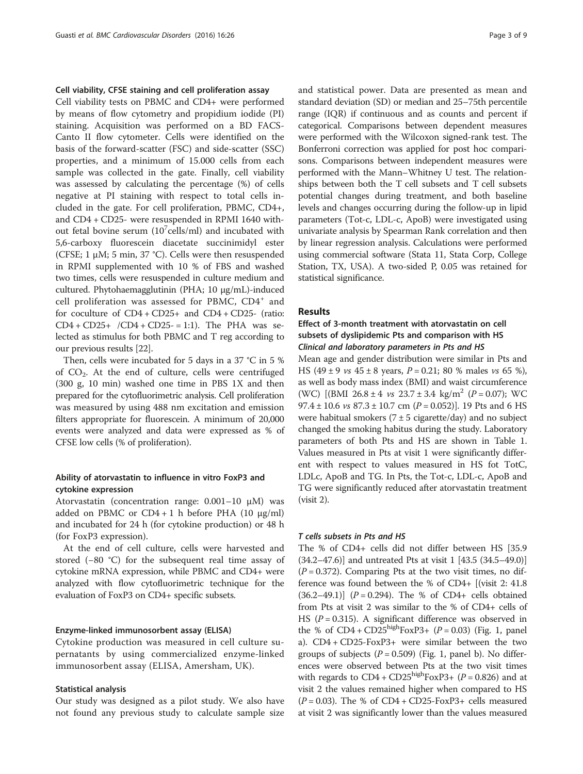## Cell viability, CFSE staining and cell proliferation assay

Cell viability tests on PBMC and CD4+ were performed by means of flow cytometry and propidium iodide (PI) staining. Acquisition was performed on a BD FACS-Canto II flow cytometer. Cells were identified on the basis of the forward-scatter (FSC) and side-scatter (SSC) properties, and a minimum of 15.000 cells from each sample was collected in the gate. Finally, cell viability was assessed by calculating the percentage (%) of cells negative at PI staining with respect to total cells included in the gate. For cell proliferation, PBMC, CD4+, and CD4 + CD25- were resuspended in RPMI 1640 without fetal bovine serum  $(10^7$ cells/ml) and incubated with 5,6-carboxy fluorescein diacetate succinimidyl ester (CFSE; 1  $\mu$ M; 5 min, 37 °C). Cells were then resuspended in RPMI supplemented with 10 % of FBS and washed two times, cells were resuspended in culture medium and cultured. Phytohaemagglutinin (PHA; 10 μg/mL)-induced cell proliferation was assessed for PBMC, CD4<sup>+</sup> and for coculture of CD4 + CD25+ and CD4 + CD25- (ratio:  $CD4 + CD25 + /CD4 + CD25 = 1:1$ . The PHA was selected as stimulus for both PBMC and T reg according to our previous results [\[22](#page-8-0)].

Then, cells were incubated for 5 days in a 37 °C in 5 % of  $CO<sub>2</sub>$ . At the end of culture, cells were centrifuged (300 g, 10 min) washed one time in PBS 1X and then prepared for the cytofluorimetric analysis. Cell proliferation was measured by using 488 nm excitation and emission filters appropriate for fluorescein. A minimum of 20,000 events were analyzed and data were expressed as % of CFSE low cells (% of proliferation).

## Ability of atorvastatin to influence in vitro FoxP3 and cytokine expression

Atorvastatin (concentration range: 0.001–10 μM) was added on PBMC or  $CD4 + 1$  h before PHA (10  $\mu$ g/ml) and incubated for 24 h (for cytokine production) or 48 h (for FoxP3 expression).

At the end of cell culture, cells were harvested and stored (−80 °C) for the subsequent real time assay of cytokine mRNA expression, while PBMC and CD4+ were analyzed with flow cytofluorimetric technique for the evaluation of FoxP3 on CD4+ specific subsets.

## Enzyme-linked immunosorbent assay (ELISA)

Cytokine production was measured in cell culture supernatants by using commercialized enzyme-linked immunosorbent assay (ELISA, Amersham, UK).

#### Statistical analysis

Our study was designed as a pilot study. We also have not found any previous study to calculate sample size and statistical power. Data are presented as mean and standard deviation (SD) or median and 25–75th percentile range (IQR) if continuous and as counts and percent if categorical. Comparisons between dependent measures were performed with the Wilcoxon signed-rank test. The Bonferroni correction was applied for post hoc comparisons. Comparisons between independent measures were performed with the Mann–Whitney U test. The relationships between both the T cell subsets and T cell subsets potential changes during treatment, and both baseline levels and changes occurring during the follow-up in lipid parameters (Tot-c, LDL-c, ApoB) were investigated using univariate analysis by Spearman Rank correlation and then by linear regression analysis. Calculations were performed using commercial software (Stata 11, Stata Corp, College Station, TX, USA). A two-sided P, 0.05 was retained for statistical significance.

## Results

## Effect of 3-month treatment with atorvastatin on cell subsets of dyslipidemic Pts and comparison with HS Clinical and laboratory parameters in Pts and HS

Mean age and gender distribution were similar in Pts and HS (49  $\pm$  9 *vs* 45  $\pm$  8 years, *P* = 0.21; 80 % males *vs* 65 %), as well as body mass index (BMI) and waist circumference (WC)  $[(BMI \ 26.8 \pm 4 \text{ vs } 23.7 \pm 3.4 \text{ kg/m}^2 \ (P = 0.07)); \ WC$ 97.4 ± 10.6  $vs$  87.3 ± 10.7 cm (P = 0.052)]. 19 Pts and 6 HS were habitual smokers  $(7 \pm 5 \text{ cigarette/day})$  and no subject changed the smoking habitus during the study. Laboratory parameters of both Pts and HS are shown in Table [1](#page-3-0). Values measured in Pts at visit 1 were significantly different with respect to values measured in HS fot TotC, LDLc, ApoB and TG. In Pts, the Tot-c, LDL-c, ApoB and TG were significantly reduced after atorvastatin treatment (visit 2).

#### T cells subsets in Pts and HS

The % of CD4+ cells did not differ between HS [35.9 (34.2–47.6)] and untreated Pts at visit 1 [43.5 (34.5–49.0)]  $(P = 0.372)$ . Comparing Pts at the two visit times, no difference was found between the % of CD4+ [(visit 2: 41.8  $(36.2-49.1)$ ]  $(P = 0.294)$ . The % of CD4+ cells obtained from Pts at visit 2 was similar to the % of CD4+ cells of HS ( $P = 0.315$ ). A significant difference was observed in the % of  $CD4 + CD25^{high}FoxP3 + (P = 0.03)$  (Fig. [1,](#page-3-0) panel a). CD4 + CD25-FoxP3+ were similar between the two groups of subjects ( $P = 0.509$ ) (Fig. [1,](#page-3-0) panel b). No differences were observed between Pts at the two visit times with regards to  $CD4 + CD25<sup>high</sup>FoxP3+ (P = 0.826)$  and at visit 2 the values remained higher when compared to HS  $(P = 0.03)$ . The % of CD4 + CD25-FoxP3+ cells measured at visit 2 was significantly lower than the values measured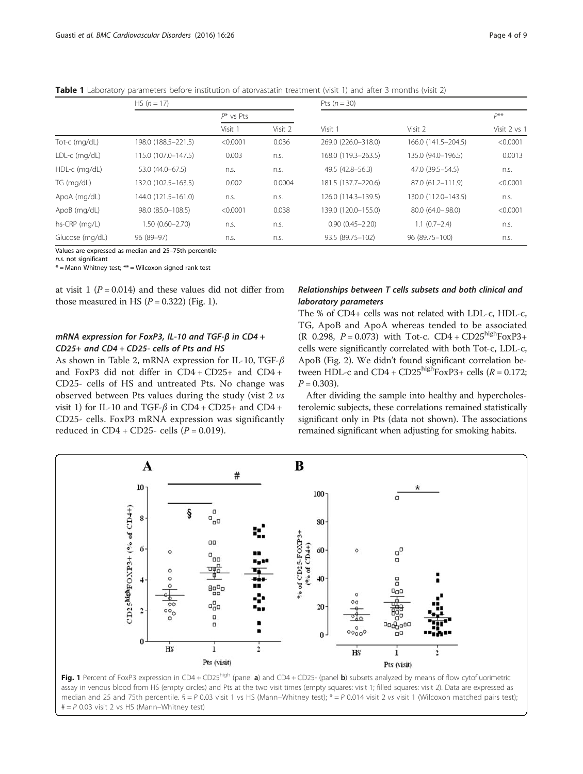<span id="page-3-0"></span>Table 1 Laboratory parameters before institution of atorvastatin treatment (visit 1) and after 3 months (visit 2)

|                 | $HS (n = 17)$       |              |         | Pts $(n = 30)$      |                     |              |  |
|-----------------|---------------------|--------------|---------|---------------------|---------------------|--------------|--|
|                 |                     | $P^*$ vs Pts |         |                     |                     | $P^{**}$     |  |
|                 |                     | Visit 1      | Visit 2 | Visit 1             | Visit 2             | Visit 2 vs 1 |  |
| Tot-c (mg/dL)   | 198.0 (188.5-221.5) | < 0.0001     | 0.036   | 269.0 (226.0-318.0) | 166.0 (141.5-204.5) | < 0.0001     |  |
| $LDL-c$ (mg/dL) | 115.0 (107.0-147.5) | 0.003        | n.s.    | 168.0 (119.3-263.5) | 135.0 (94.0-196.5)  | 0.0013       |  |
| HDL-c (mg/dL)   | 53.0 (44.0-67.5)    | n.s.         | n.S.    | 49.5 (42.8-56.3)    | 47.0 (39.5 - 54.5)  | n.s.         |  |
| TG (mg/dL)      | 132.0 (102.5-163.5) | 0.002        | 0.0004  | 181.5 (137.7-220.6) | 87.0 (61.2-111.9)   | < 0.0001     |  |
| ApoA (mg/dL)    | 144.0 (121.5-161.0) | n.s.         | n.S.    | 126.0 (114.3-139.5) | 130.0 (112.0-143.5) | n.s.         |  |
| ApoB (mg/dL)    | 98.0 (85.0-108.5)   | < 0.0001     | 0.038   | 139.0 (120.0-155.0) | 80.0 (64.0-.98.0)   | < 0.0001     |  |
| hs-CRP (mg/L)   | $1.50(0.60 - 2.70)$ | n.S.         | n.S.    | $0.90(0.45 - 2.20)$ | $1.1(0.7-2.4)$      | n.S.         |  |
| Glucose (mg/dL) | 96 (89-97)          | n.s.         | n.s.    | 93.5 (89.75-102)    | 96 (89.75-100)      | n.s.         |  |

Values are expressed as median and 25–75th percentile

n.s. not significant

 $*$  = Mann Whitney test;  $**$  = Wilcoxon signed rank test

at visit 1 ( $P = 0.014$ ) and these values did not differ from those measured in HS  $(P = 0.322)$  (Fig. 1).

## mRNA expression for FoxP3, IL-10 and TGF-β in CD4 + CD25+ and CD4 + CD25- cells of Pts and HS

As shown in Table [2](#page-4-0), mRNA expression for IL-10, TGF-β and FoxP3 did not differ in CD4 + CD25+ and CD4 + CD25- cells of HS and untreated Pts. No change was observed between Pts values during the study (vist 2 vs visit 1) for IL-10 and TGF- $\beta$  in CD4 + CD25+ and CD4 + CD25- cells. FoxP3 mRNA expression was significantly reduced in  $CD4 + CD25$ - cells ( $P = 0.019$ ).

## Relationships between T cells subsets and both clinical and laboratory parameters

The % of CD4+ cells was not related with LDL-c, HDL-c, TG, ApoB and ApoA whereas tended to be associated  $(R \ 0.298, P = 0.073)$  with Tot-c.  $CD4 + CD25^{high} FoxP3+$ cells were significantly correlated with both Tot-c, LDL-c, ApoB (Fig. [2](#page-5-0)). We didn't found significant correlation between HDL-c and  $CD4 + CD25<sup>high</sup>FoxP3 + cells$  ( $R = 0.172$ ;  $P = 0.303$ ).

After dividing the sample into healthy and hypercholesterolemic subjects, these correlations remained statistically significant only in Pts (data not shown). The associations remained significant when adjusting for smoking habits.



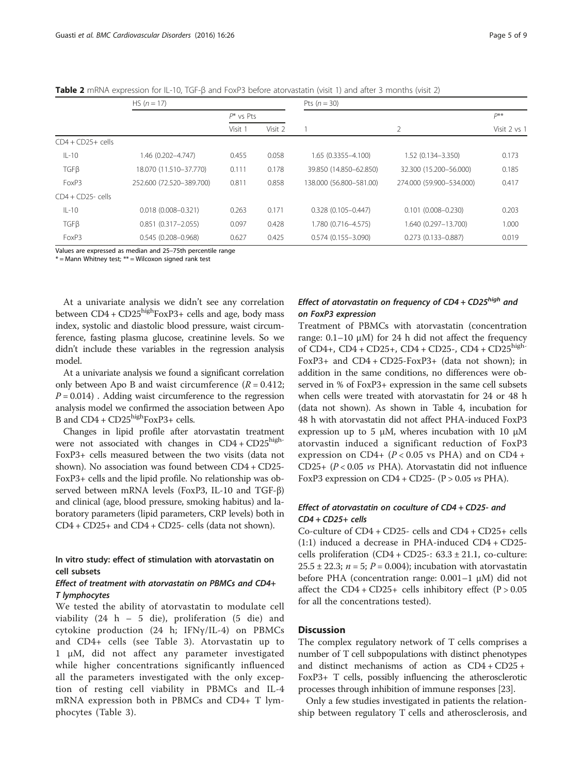<span id="page-4-0"></span>Table 2 mRNA expression for IL-10, TGF-β and FoxP3 before atorvastatin (visit 1) and after 3 months (visit 2)

|                      | HS $(n = 17)$            |              |         | Pts $(n = 30)$          |                          |              |  |
|----------------------|--------------------------|--------------|---------|-------------------------|--------------------------|--------------|--|
|                      |                          | $P^*$ vs Pts |         |                         |                          | p**          |  |
|                      |                          | Visit 1      | Visit 2 |                         | $\overline{2}$           | Visit 2 vs 1 |  |
| $CD4 + CD25 + cells$ |                          |              |         |                         |                          |              |  |
| $IL-10$              | 1.46 (0.202-4.747)       | 0.455        | 0.058   | $1.65(0.3355 - 4.100)$  | 1.52 (0.134 - 3.350)     | 0.173        |  |
| TGFB                 | 18.070 (11.510-37.770)   | 0.111        | 0.178   | 39.850 (14.850-62.850)  | 32.300 (15.200-56.000)   | 0.185        |  |
| FoxP3                | 252.600 (72.520-389.700) | 0.811        | 0.858   | 138,000 (56,800-581,00) | 274.000 (59.900-534.000) | 0.417        |  |
| $CD4 + CD25$ -cells  |                          |              |         |                         |                          |              |  |
| $IL-10$              | $0.018(0.008 - 0.321)$   | 0.263        | 0.171   | $0.328(0.105 - 0.447)$  | $0.101(0.008 - 0.230)$   | 0.203        |  |
| TGFB                 | $0.851(0.317 - 2.055)$   | 0.097        | 0.428   | 1.780 (0.716-4.575)     | 1.640 (0.297-13.700)     | 1.000        |  |
| FoxP3                | $0.545(0.208 - 0.968)$   | 0.627        | 0.425   | $0.574(0.155 - 3.090)$  | $0.273(0.133 - 0.887)$   | 0.019        |  |

Values are expressed as median and 25–75th percentile range

 $*$  = Mann Whitney test;  $**$  = Wilcoxon signed rank test

At a univariate analysis we didn't see any correlation between  $CD4 + CD25<sup>high</sup>FoxP3+ cells$  and age, body mass index, systolic and diastolic blood pressure, waist circumference, fasting plasma glucose, creatinine levels. So we didn't include these variables in the regression analysis model.

At a univariate analysis we found a significant correlation only between Apo B and waist circumference  $(R = 0.412;$  $P = 0.014$ ). Adding waist circumference to the regression analysis model we confirmed the association between Apo B and  $CD4 + CD25<sup>high</sup>FoxP3 + cells.$ 

Changes in lipid profile after atorvastatin treatment were not associated with changes in  $CD4 + CD25$ <sup>high-</sup> FoxP3+ cells measured between the two visits (data not shown). No association was found between CD4 + CD25- FoxP3+ cells and the lipid profile. No relationship was observed between mRNA levels (FoxP3, IL-10 and TGF-β) and clinical (age, blood pressure, smoking habitus) and laboratory parameters (lipid parameters, CRP levels) both in CD4 + CD25+ and CD4 + CD25- cells (data not shown).

## In vitro study: effect of stimulation with atorvastatin on cell subsets

## Effect of treatment with atorvastatin on PBMCs and CD4+ T lymphocytes

We tested the ability of atorvastatin to modulate cell viability (24 h – 5 die), proliferation (5 die) and cytokine production (24 h; IFNγ/IL-4) on PBMCs and CD4+ cells (see Table [3\)](#page-6-0). Atorvastatin up to 1 μM, did not affect any parameter investigated while higher concentrations significantly influenced all the parameters investigated with the only exception of resting cell viability in PBMCs and IL-4 mRNA expression both in PBMCs and CD4+ T lymphocytes (Table [3](#page-6-0)).

## Effect of atorvastatin on frequency of  $CD4 + CD25<sup>high</sup>$  and on FoxP3 expression

Treatment of PBMCs with atorvastatin (concentration range:  $0.1-10 \mu M$ ) for 24 h did not affect the frequency of  $CD4+$ ,  $CD4 + CD25+$ ,  $CD4 + CD25-$ ,  $CD4 + CD25$ high-FoxP3+ and CD4 + CD25-FoxP3+ (data not shown); in addition in the same conditions, no differences were observed in % of FoxP3+ expression in the same cell subsets when cells were treated with atorvastatin for 24 or 48 h (data not shown). As shown in Table [4](#page-6-0), incubation for 48 h with atorvastatin did not affect PHA-induced FoxP3 expression up to 5 μM, wheres incubation with 10 μM atorvastin induced a significant reduction of FoxP3 expression on CD4+  $(P < 0.05$  vs PHA) and on CD4+ CD25+  $(P < 0.05$  vs PHA). Atorvastatin did not influence FoxP3 expression on  $CD4 + CD25 - (P > 0.05 \text{ vs } PHA)$ .

## Effect of atorvastatin on coculture of CD4 + CD25- and CD4 + CD25+ cells

Co-culture of CD4 + CD25- cells and CD4 + CD25+ cells (1:1) induced a decrease in PHA-induced CD4 + CD25 cells proliferation  $(CD4 + CD25-$ :  $63.3 \pm 21.1$ , co-culture: 25.5  $\pm$  22.3;  $n = 5$ ;  $P = 0.004$ ); incubation with atorvastatin before PHA (concentration range: 0.001–1 μM) did not affect the  $CD4 + CD25 +$  cells inhibitory effect  $(P > 0.05)$ for all the concentrations tested).

## **Discussion**

The complex regulatory network of T cells comprises a number of T cell subpopulations with distinct phenotypes and distinct mechanisms of action as CD4 + CD25 + FoxP3+ T cells, possibly influencing the atherosclerotic processes through inhibition of immune responses [\[23\]](#page-8-0).

Only a few studies investigated in patients the relationship between regulatory T cells and atherosclerosis, and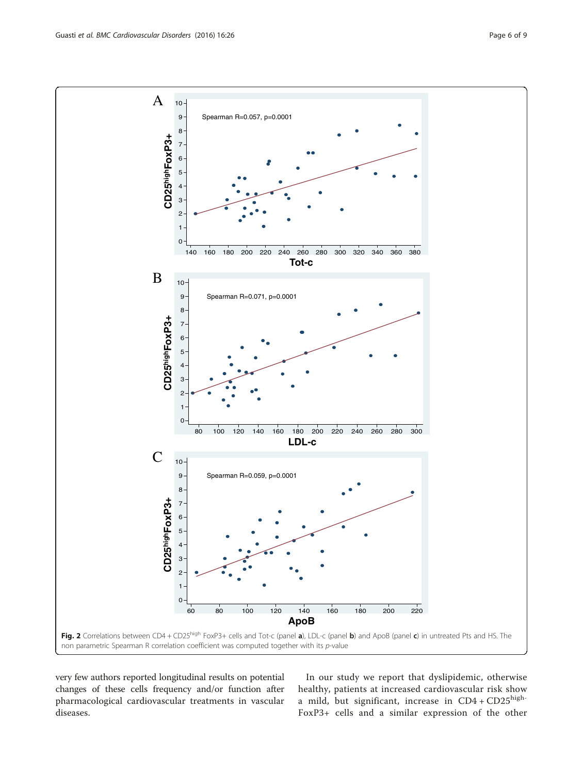<span id="page-5-0"></span>

very few authors reported longitudinal results on potential changes of these cells frequency and/or function after pharmacological cardiovascular treatments in vascular diseases.

In our study we report that dyslipidemic, otherwise healthy, patients at increased cardiovascular risk show a mild, but significant, increase in  $CD4 + CD25$ <sup>high-</sup> FoxP3+ cells and a similar expression of the other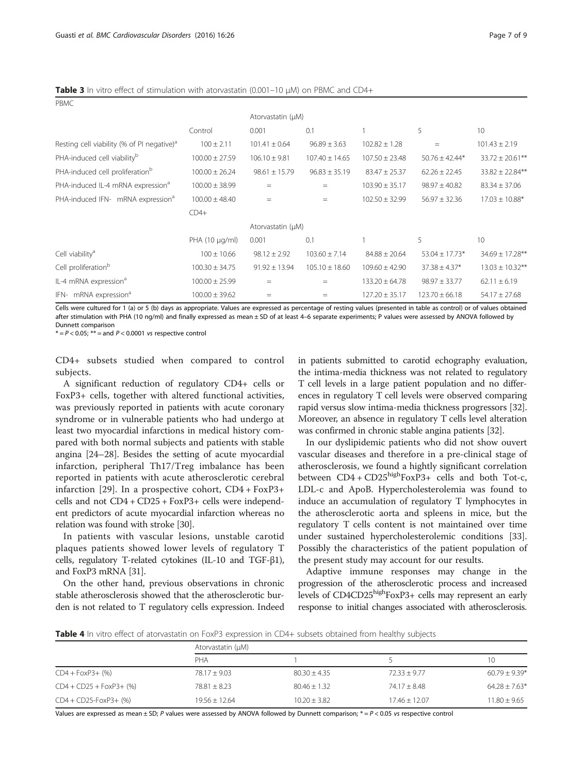<span id="page-6-0"></span>Table 3 In vitro effect of stimulation with atorvastatin (0.001-10 μM) on PBMC and CD4+

|                                                        |                    | Atorvastatin (µM) |                    |                    |                    |                      |
|--------------------------------------------------------|--------------------|-------------------|--------------------|--------------------|--------------------|----------------------|
|                                                        | Control            | 0.001             | 0.1                |                    | 5                  | 10                   |
| Resting cell viability (% of PI negative) <sup>a</sup> | $100 \pm 2.11$     | $101.41 \pm 0.64$ | $96.89 \pm 3.63$   | $102.82 \pm 1.28$  | $=$                | $101.43 \pm 2.19$    |
| PHA-induced cell viability <sup>b</sup>                | $100.00 \pm 27.59$ | $106.10 \pm 9.81$ | $107.40 \pm 14.65$ | $107.50 \pm 23.48$ | $50.76 \pm 42.44*$ | $33.72 \pm 20.61$ ** |
| PHA-induced cell proliferation <sup>b</sup>            | $100.00 \pm 26.24$ | $98.61 \pm 15.79$ | $96.83 \pm 35.19$  | $83.47 \pm 25.37$  | $62.26 \pm 22.45$  | $33.82 \pm 22.84***$ |
| PHA-induced IL-4 mRNA expression <sup>d</sup>          | $100.00 \pm 38.99$ | $=$               | $=$                | $103.90 \pm 35.17$ | $98.97 \pm 40.82$  | $83.34 \pm 37.06$    |
| PHA-induced IFN- mRNA expression <sup>a</sup>          | $100.00 \pm 48.40$ | $=$               | $=$                | $102.50 \pm 32.99$ | $56.97 \pm 32.36$  | $17.03 \pm 10.88*$   |
|                                                        | $CD4+$             |                   |                    |                    |                    |                      |
| Atorvastatin (µM)                                      |                    |                   |                    |                    |                    |                      |
|                                                        | PHA (10 µg/ml)     | 0.001             | 0.1                |                    | 5                  | 10                   |
| Cell viability <sup>a</sup>                            | $100 \pm 10.66$    | $98.12 \pm 2.92$  | $103.60 \pm 7.14$  | $84.88 \pm 20.64$  | $53.04 \pm 17.73*$ | $34.69 \pm 17.28***$ |
| Cell proliferation <sup>b</sup>                        | $100.30 \pm 34.75$ | $91.92 \pm 13.94$ | $105.10 \pm 18.60$ | $109.60 \pm 42.90$ | $37.38 \pm 4.37*$  | $13.03 \pm 10.32$ ** |
| IL-4 mRNA expression <sup>a</sup>                      | $100.00 \pm 25.99$ | $=$               | $=$                | $133.20 \pm 64.78$ | $98.97 \pm 33.77$  | $62.11 \pm 6.19$     |
| IFN- mRNA expression <sup>a</sup>                      | $100.00 \pm 39.62$ | $=$               | $=$                | $127.20 \pm 35.17$ | $123.70 \pm 66.18$ | $54.17 \pm 27.68$    |

Cells were cultured for 1 (a) or 5 (b) days as appropriate. Values are expressed as percentage of resting values (presented in table as control) or of values obtained after stimulation with PHA (10 ng/ml) and finally expressed as mean ± SD of at least 4–6 separate experiments; P values were assessed by ANOVA followed by Dunnett comparison

 $* = P < 0.05$ ;  $** =$  and  $P < 0.0001$  vs respective control

CD4+ subsets studied when compared to control subjects.

A significant reduction of regulatory CD4+ cells or FoxP3+ cells, together with altered functional activities, was previously reported in patients with acute coronary syndrome or in vulnerable patients who had undergo at least two myocardial infarctions in medical history compared with both normal subjects and patients with stable angina [[24](#page-8-0)–[28](#page-8-0)]. Besides the setting of acute myocardial infarction, peripheral Th17/Treg imbalance has been reported in patients with acute atherosclerotic cerebral infarction [\[29](#page-8-0)]. In a prospective cohort, CD4 + FoxP3+ cells and not CD4 + CD25 + FoxP3+ cells were independent predictors of acute myocardial infarction whereas no relation was found with stroke [[30](#page-8-0)].

In patients with vascular lesions, unstable carotid plaques patients showed lower levels of regulatory T cells, regulatory T-related cytokines (IL-10 and TGF-β1), and FoxP3 mRNA [\[31\]](#page-8-0).

On the other hand, previous observations in chronic stable atherosclerosis showed that the atherosclerotic burden is not related to T regulatory cells expression. Indeed in patients submitted to carotid echography evaluation, the intima-media thickness was not related to regulatory T cell levels in a large patient population and no differences in regulatory T cell levels were observed comparing rapid versus slow intima-media thickness progressors [[32](#page-8-0)]. Moreover, an absence in regulatory T cells level alteration was confirmed in chronic stable angina patients [[32](#page-8-0)].

In our dyslipidemic patients who did not show ouvert vascular diseases and therefore in a pre-clinical stage of atherosclerosis, we found a hightly significant correlation between  $CD4 + CD25^{high}FoxP3+$  cells and both Tot-c, LDL-c and ApoB. Hypercholesterolemia was found to induce an accumulation of regulatory T lymphocytes in the atherosclerotic aorta and spleens in mice, but the regulatory T cells content is not maintained over time under sustained hypercholesterolemic conditions [\[33](#page-8-0)]. Possibly the characteristics of the patient population of the present study may account for our results.

Adaptive immune responses may change in the progression of the atherosclerotic process and increased levels of CD4CD25highFoxP3+ cells may represent an early response to initial changes associated with atherosclerosis.

Table 4 In vitro effect of atorvastatin on FoxP3 expression in CD4+ subsets obtained from healthy subjects

|                            | Atorvastatin (µM) |                |                 |                 |  |  |  |
|----------------------------|-------------------|----------------|-----------------|-----------------|--|--|--|
|                            | PHA               |                |                 | 10              |  |  |  |
| $CD4 + FoxP3 + (%)$        | $78.17 + 9.03$    | $80.30 + 4.35$ | $72.33 + 9.77$  | $60.79 + 9.39*$ |  |  |  |
| $CD4 + CD25 + FoxP3 + (%)$ | $78.81 \pm 8.23$  | $80.46 + 1.32$ | $74.17 + 8.48$  | $64.28 + 7.63*$ |  |  |  |
| $CD4 + CD25$ -FoxP3+ (%)   | $19.56 + 12.64$   | $10.20 + 3.82$ | $17.46 + 12.07$ | $11.80 + 9.65$  |  |  |  |

Values are expressed as mean  $\pm$  SD; P values were assessed by ANOVA followed by Dunnett comparison;  $* = P < 0.05$  vs respective control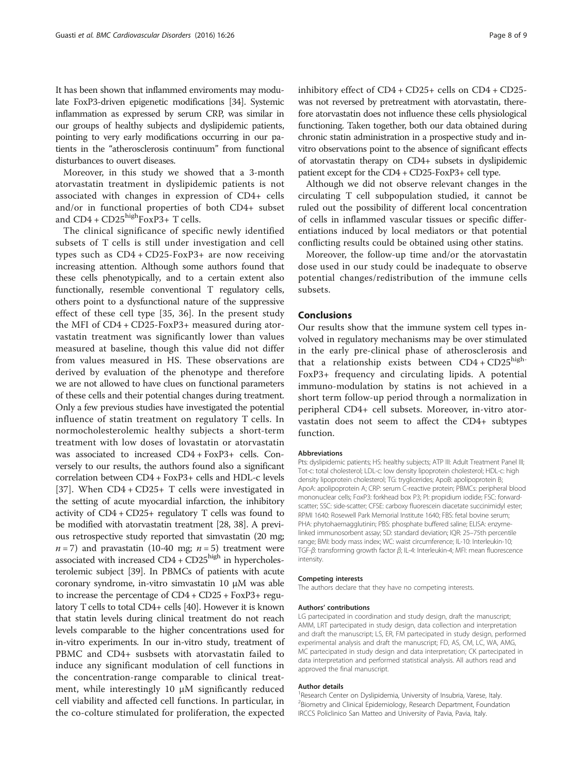It has been shown that inflammed enviroments may modulate FoxP3-driven epigenetic modifications [\[34](#page-8-0)]. Systemic inflammation as expressed by serum CRP, was similar in our groups of healthy subjects and dyslipidemic patients, pointing to very early modifications occurring in our patients in the "atherosclerosis continuum" from functional disturbances to ouvert diseases.

Moreover, in this study we showed that a 3-month atorvastatin treatment in dyslipidemic patients is not associated with changes in expression of CD4+ cells and/or in functional properties of both CD4+ subset and CD4 + CD25highFoxP3+ T cells.

The clinical significance of specific newly identified subsets of T cells is still under investigation and cell types such as CD4 + CD25-FoxP3+ are now receiving increasing attention. Although some authors found that these cells phenotypically, and to a certain extent also functionally, resemble conventional T regulatory cells, others point to a dysfunctional nature of the suppressive effect of these cell type [[35](#page-8-0), [36\]](#page-8-0). In the present study the MFI of CD4 + CD25-FoxP3+ measured during atorvastatin treatment was significantly lower than values measured at baseline, though this value did not differ from values measured in HS. These observations are derived by evaluation of the phenotype and therefore we are not allowed to have clues on functional parameters of these cells and their potential changes during treatment. Only a few previous studies have investigated the potential influence of statin treatment on regulatory T cells. In normocholesterolemic healthy subjects a short-term treatment with low doses of lovastatin or atorvastatin was associated to increased CD4 + FoxP3+ cells. Conversely to our results, the authors found also a significant correlation between CD4 + FoxP3+ cells and HDL-c levels [[37\]](#page-8-0). When CD4 + CD25+ T cells were investigated in the setting of acute myocardial infarction, the inhibitory activity of CD4 + CD25+ regulatory T cells was found to be modified with atorvastatin treatment [\[28, 38\]](#page-8-0). A previous retrospective study reported that simvastatin (20 mg;  $n = 7$ ) and pravastatin (10-40 mg;  $n = 5$ ) treatment were associated with increased CD4 + CD25high in hypercholesterolemic subject [[39](#page-8-0)]. In PBMCs of patients with acute coronary syndrome, in-vitro simvastatin 10 μM was able to increase the percentage of CD4 + CD25 + FoxP3+ regulatory T cells to total CD4+ cells [[40](#page-8-0)]. However it is known that statin levels during clinical treatment do not reach levels comparable to the higher concentrations used for in-vitro experiments. In our in-vitro study, treatment of PBMC and CD4+ susbsets with atorvastatin failed to induce any significant modulation of cell functions in the concentration-range comparable to clinical treatment, while interestingly 10 μM significantly reduced cell viability and affected cell functions. In particular, in the co-colture stimulated for proliferation, the expected

inhibitory effect of CD4 + CD25+ cells on CD4 + CD25 was not reversed by pretreatment with atorvastatin, therefore atorvastatin does not influence these cells physiological functioning. Taken together, both our data obtained during chronic statin administration in a prospective study and invitro observations point to the absence of significant effects of atorvastatin therapy on CD4+ subsets in dyslipidemic patient except for the CD4 + CD25-FoxP3+ cell type.

Although we did not observe relevant changes in the circulating T cell subpopulation studied, it cannot be ruled out the possibility of different local concentration of cells in inflammed vascular tissues or specific differentiations induced by local mediators or that potential conflicting results could be obtained using other statins.

Moreover, the follow-up time and/or the atorvastatin dose used in our study could be inadequate to observe potential changes/redistribution of the immune cells subsets.

## Conclusions

Our results show that the immune system cell types involved in regulatory mechanisms may be over stimulated in the early pre-clinical phase of atherosclerosis and that a relationship exists between  $CD4 + CD25$ <sup>high-</sup> FoxP3+ frequency and circulating lipids. A potential immuno-modulation by statins is not achieved in a short term follow-up period through a normalization in peripheral CD4+ cell subsets. Moreover, in-vitro atorvastatin does not seem to affect the CD4+ subtypes function.

#### Abbreviations

Pts: dyslipidemic patients; HS: healthy subjects; ATP III: Adult Treatment Panel III; Tot-c: total cholesterol; LDL-c: low density lipoprotein cholesterol; HDL-c: high density lipoprotein cholesterol; TG: tryglicerides; ApoB: apolipoprotein B; ApoA: apolipoprotein A; CRP: serum C-reactive protein; PBMCs: peripheral blood mononuclear cells; FoxP3: forkhead box P3; PI: propidium iodide; FSC: forwardscatter; SSC: side-scatter; CFSE: carboxy fluorescein diacetate succinimidyl ester; RPMI 1640: Rosewell Park Memorial Institute 1640; FBS: fetal bovine serum; PHA: phytohaemagglutinin; PBS: phosphate buffered saline; ELISA: enzymelinked immunosorbent assay; SD: standard deviation; IQR: 25–75th percentile range; BMI: body mass index; WC: waist circumference; IL-10: Interleukin-10; TGF-β: transforming growth factor β; IL-4: Interleukin-4; MFI: mean fluorescence intensity.

#### Competing interests

The authors declare that they have no competing interests.

#### Authors' contributions

LG partecipated in coordination and study design, draft the manuscript; AMM, LRT partecipated in study design, data collection and interpretation and draft the manuscript; LS, ER, FM partecipated in study design, performed experimental analysis and draft the manuscript; FD, AS, CM, LC, WA, AMG, MC partecipated in study design and data interpretation; CK partecipated in data interpretation and performed statistical analysis. All authors read and approved the final manuscript.

#### Author details

<sup>1</sup> Research Center on Dyslipidemia, University of Insubria, Varese, Italy. <sup>2</sup> Biometry and Clinical Epidemiology, Research Department, Foundation IRCCS Policlinico San Matteo and University of Pavia, Pavia, Italy.